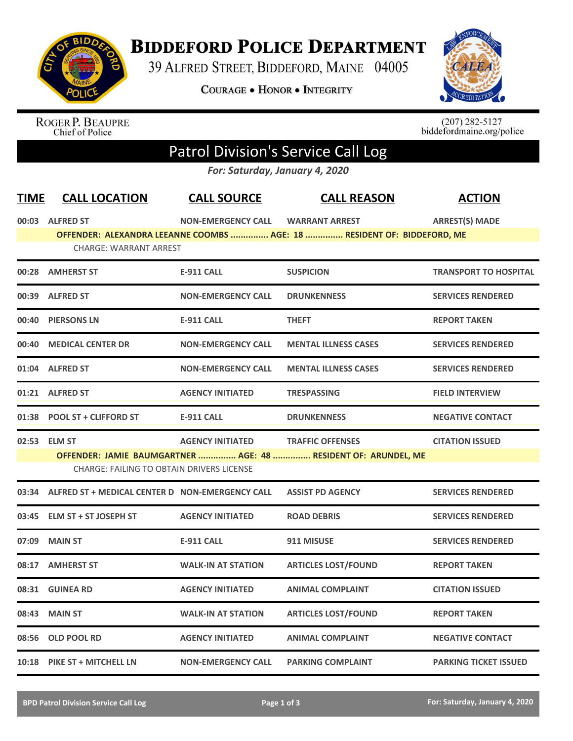

## **BIDDEFORD POLICE DEPARTMENT**

39 ALFRED STREET, BIDDEFORD, MAINE 04005

**COURAGE . HONOR . INTEGRITY** 



ROGER P. BEAUPRE<br>Chief of Police

 $(207)$  282-5127<br>biddefordmaine.org/police

## Patrol Division's Service Call Log

*For: Saturday, January 4, 2020*

| <b>TIME</b>  | <b>CALL LOCATION</b>                                  | <b>CALL SOURCE</b>        | <b>CALL REASON</b>                                                      | <b>ACTION</b>                |
|--------------|-------------------------------------------------------|---------------------------|-------------------------------------------------------------------------|------------------------------|
|              | 00:03 ALFRED ST                                       | <b>NON-EMERGENCY CALL</b> | <b>WARRANT ARREST</b>                                                   | <b>ARREST(S) MADE</b>        |
|              |                                                       |                           | OFFENDER: ALEXANDRA LEEANNE COOMBS  AGE: 18  RESIDENT OF: BIDDEFORD, ME |                              |
|              | <b>CHARGE: WARRANT ARREST</b>                         |                           |                                                                         |                              |
|              | 00:28 AMHERST ST                                      | <b>E-911 CALL</b>         | <b>SUSPICION</b>                                                        | <b>TRANSPORT TO HOSPITAL</b> |
|              | 00:39 ALFRED ST                                       | <b>NON-EMERGENCY CALL</b> | <b>DRUNKENNESS</b>                                                      | <b>SERVICES RENDERED</b>     |
| 00:40        | <b>PIERSONS LN</b>                                    | <b>E-911 CALL</b>         | <b>THEFT</b>                                                            | <b>REPORT TAKEN</b>          |
| 00:40        | <b>MEDICAL CENTER DR</b>                              | <b>NON-EMERGENCY CALL</b> | <b>MENTAL ILLNESS CASES</b>                                             | <b>SERVICES RENDERED</b>     |
|              | 01:04 ALFRED ST                                       | <b>NON-EMERGENCY CALL</b> | <b>MENTAL ILLNESS CASES</b>                                             | <b>SERVICES RENDERED</b>     |
|              | 01:21 ALFRED ST                                       | <b>AGENCY INITIATED</b>   | <b>TRESPASSING</b>                                                      | <b>FIELD INTERVIEW</b>       |
|              | 01:38 POOL ST + CLIFFORD ST                           | <b>E-911 CALL</b>         | <b>DRUNKENNESS</b>                                                      | <b>NEGATIVE CONTACT</b>      |
| 02:53 ELM ST |                                                       | <b>AGENCY INITIATED</b>   | <b>TRAFFIC OFFENSES</b>                                                 | <b>CITATION ISSUED</b>       |
|              |                                                       |                           | OFFENDER: JAMIE BAUMGARTNER  AGE: 48  RESIDENT OF: ARUNDEL, ME          |                              |
|              | <b>CHARGE: FAILING TO OBTAIN DRIVERS LICENSE</b>      |                           |                                                                         |                              |
|              | 03:34 ALFRED ST + MEDICAL CENTER D NON-EMERGENCY CALL |                           | <b>ASSIST PD AGENCY</b>                                                 | <b>SERVICES RENDERED</b>     |
|              | 03:45 ELM ST + ST JOSEPH ST                           | <b>AGENCY INITIATED</b>   | <b>ROAD DEBRIS</b>                                                      | <b>SERVICES RENDERED</b>     |
| 07:09        | <b>MAIN ST</b>                                        | <b>E-911 CALL</b>         | 911 MISUSE                                                              | <b>SERVICES RENDERED</b>     |
| 08:17        | <b>AMHERST ST</b>                                     | <b>WALK-IN AT STATION</b> | <b>ARTICLES LOST/FOUND</b>                                              | <b>REPORT TAKEN</b>          |
| 08:31        | <b>GUINEA RD</b>                                      | <b>AGENCY INITIATED</b>   | <b>ANIMAL COMPLAINT</b>                                                 | <b>CITATION ISSUED</b>       |
| 08:43        | <b>MAIN ST</b>                                        | <b>WALK-IN AT STATION</b> | <b>ARTICLES LOST/FOUND</b>                                              | <b>REPORT TAKEN</b>          |
| 08:56        | <b>OLD POOL RD</b>                                    | <b>AGENCY INITIATED</b>   | <b>ANIMAL COMPLAINT</b>                                                 | <b>NEGATIVE CONTACT</b>      |
|              | 10:18 PIKE ST + MITCHELL LN                           | <b>NON-EMERGENCY CALL</b> | <b>PARKING COMPLAINT</b>                                                | <b>PARKING TICKET ISSUED</b> |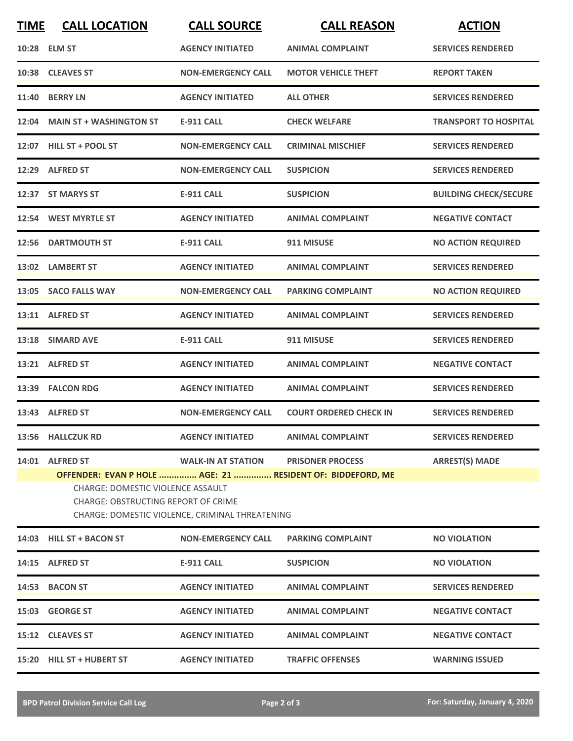| <b>TIME</b> | <b>CALL LOCATION</b>                                                                                                                                                                                                                                                                                        | <b>CALL SOURCE</b>        | <b>CALL REASON</b>            | <b>ACTION</b>                |  |  |
|-------------|-------------------------------------------------------------------------------------------------------------------------------------------------------------------------------------------------------------------------------------------------------------------------------------------------------------|---------------------------|-------------------------------|------------------------------|--|--|
|             | 10:28 ELM ST                                                                                                                                                                                                                                                                                                | <b>AGENCY INITIATED</b>   | <b>ANIMAL COMPLAINT</b>       | <b>SERVICES RENDERED</b>     |  |  |
|             | 10:38 CLEAVES ST                                                                                                                                                                                                                                                                                            | <b>NON-EMERGENCY CALL</b> | <b>MOTOR VEHICLE THEFT</b>    | <b>REPORT TAKEN</b>          |  |  |
|             | <b>11:40 BERRY LN</b>                                                                                                                                                                                                                                                                                       | <b>AGENCY INITIATED</b>   | <b>ALL OTHER</b>              | <b>SERVICES RENDERED</b>     |  |  |
|             | 12:04 MAIN ST + WASHINGTON ST                                                                                                                                                                                                                                                                               | <b>E-911 CALL</b>         | <b>CHECK WELFARE</b>          | <b>TRANSPORT TO HOSPITAL</b> |  |  |
|             | 12:07 HILL ST + POOL ST                                                                                                                                                                                                                                                                                     | <b>NON-EMERGENCY CALL</b> | <b>CRIMINAL MISCHIEF</b>      | <b>SERVICES RENDERED</b>     |  |  |
|             | 12:29 ALFRED ST                                                                                                                                                                                                                                                                                             | <b>NON-EMERGENCY CALL</b> | <b>SUSPICION</b>              | <b>SERVICES RENDERED</b>     |  |  |
|             | 12:37 ST MARYS ST                                                                                                                                                                                                                                                                                           | <b>E-911 CALL</b>         | <b>SUSPICION</b>              | <b>BUILDING CHECK/SECURE</b> |  |  |
|             | 12:54 WEST MYRTLE ST                                                                                                                                                                                                                                                                                        | <b>AGENCY INITIATED</b>   | <b>ANIMAL COMPLAINT</b>       | <b>NEGATIVE CONTACT</b>      |  |  |
|             | 12:56 DARTMOUTH ST                                                                                                                                                                                                                                                                                          | <b>E-911 CALL</b>         | 911 MISUSE                    | <b>NO ACTION REQUIRED</b>    |  |  |
|             | 13:02 LAMBERT ST                                                                                                                                                                                                                                                                                            | <b>AGENCY INITIATED</b>   | <b>ANIMAL COMPLAINT</b>       | <b>SERVICES RENDERED</b>     |  |  |
|             | 13:05 SACO FALLS WAY                                                                                                                                                                                                                                                                                        | <b>NON-EMERGENCY CALL</b> | <b>PARKING COMPLAINT</b>      | <b>NO ACTION REQUIRED</b>    |  |  |
|             | 13:11 ALFRED ST                                                                                                                                                                                                                                                                                             | <b>AGENCY INITIATED</b>   | <b>ANIMAL COMPLAINT</b>       | <b>SERVICES RENDERED</b>     |  |  |
|             | 13:18 SIMARD AVE                                                                                                                                                                                                                                                                                            | <b>E-911 CALL</b>         | 911 MISUSE                    | <b>SERVICES RENDERED</b>     |  |  |
|             | 13:21 ALFRED ST                                                                                                                                                                                                                                                                                             | <b>AGENCY INITIATED</b>   | <b>ANIMAL COMPLAINT</b>       | <b>NEGATIVE CONTACT</b>      |  |  |
|             | 13:39 FALCON RDG                                                                                                                                                                                                                                                                                            | <b>AGENCY INITIATED</b>   | <b>ANIMAL COMPLAINT</b>       | <b>SERVICES RENDERED</b>     |  |  |
|             | 13:43 ALFRED ST                                                                                                                                                                                                                                                                                             | <b>NON-EMERGENCY CALL</b> | <b>COURT ORDERED CHECK IN</b> | <b>SERVICES RENDERED</b>     |  |  |
|             | 13:56 HALLCZUK RD                                                                                                                                                                                                                                                                                           | <b>AGENCY INITIATED</b>   | <b>ANIMAL COMPLAINT</b>       | <b>SERVICES RENDERED</b>     |  |  |
|             | 14:01 ALFRED ST<br><b>WALK-IN AT STATION</b><br><b>PRISONER PROCESS</b><br><b>ARREST(S) MADE</b><br>OFFENDER: EVAN P HOLE  AGE: 21  RESIDENT OF: BIDDEFORD, ME<br><b>CHARGE: DOMESTIC VIOLENCE ASSAULT</b><br><b>CHARGE: OBSTRUCTING REPORT OF CRIME</b><br>CHARGE: DOMESTIC VIOLENCE, CRIMINAL THREATENING |                           |                               |                              |  |  |
|             | 14:03 HILL ST + BACON ST                                                                                                                                                                                                                                                                                    | <b>NON-EMERGENCY CALL</b> | <b>PARKING COMPLAINT</b>      | <b>NO VIOLATION</b>          |  |  |
|             | 14:15 ALFRED ST                                                                                                                                                                                                                                                                                             | <b>E-911 CALL</b>         | <b>SUSPICION</b>              | <b>NO VIOLATION</b>          |  |  |
|             | 14:53 BACON ST                                                                                                                                                                                                                                                                                              | <b>AGENCY INITIATED</b>   | <b>ANIMAL COMPLAINT</b>       | <b>SERVICES RENDERED</b>     |  |  |
|             | 15:03 GEORGE ST                                                                                                                                                                                                                                                                                             | <b>AGENCY INITIATED</b>   | <b>ANIMAL COMPLAINT</b>       | <b>NEGATIVE CONTACT</b>      |  |  |
|             | 15:12 CLEAVES ST                                                                                                                                                                                                                                                                                            | <b>AGENCY INITIATED</b>   | <b>ANIMAL COMPLAINT</b>       | <b>NEGATIVE CONTACT</b>      |  |  |
|             | 15:20 HILL ST + HUBERT ST                                                                                                                                                                                                                                                                                   | <b>AGENCY INITIATED</b>   | <b>TRAFFIC OFFENSES</b>       | <b>WARNING ISSUED</b>        |  |  |